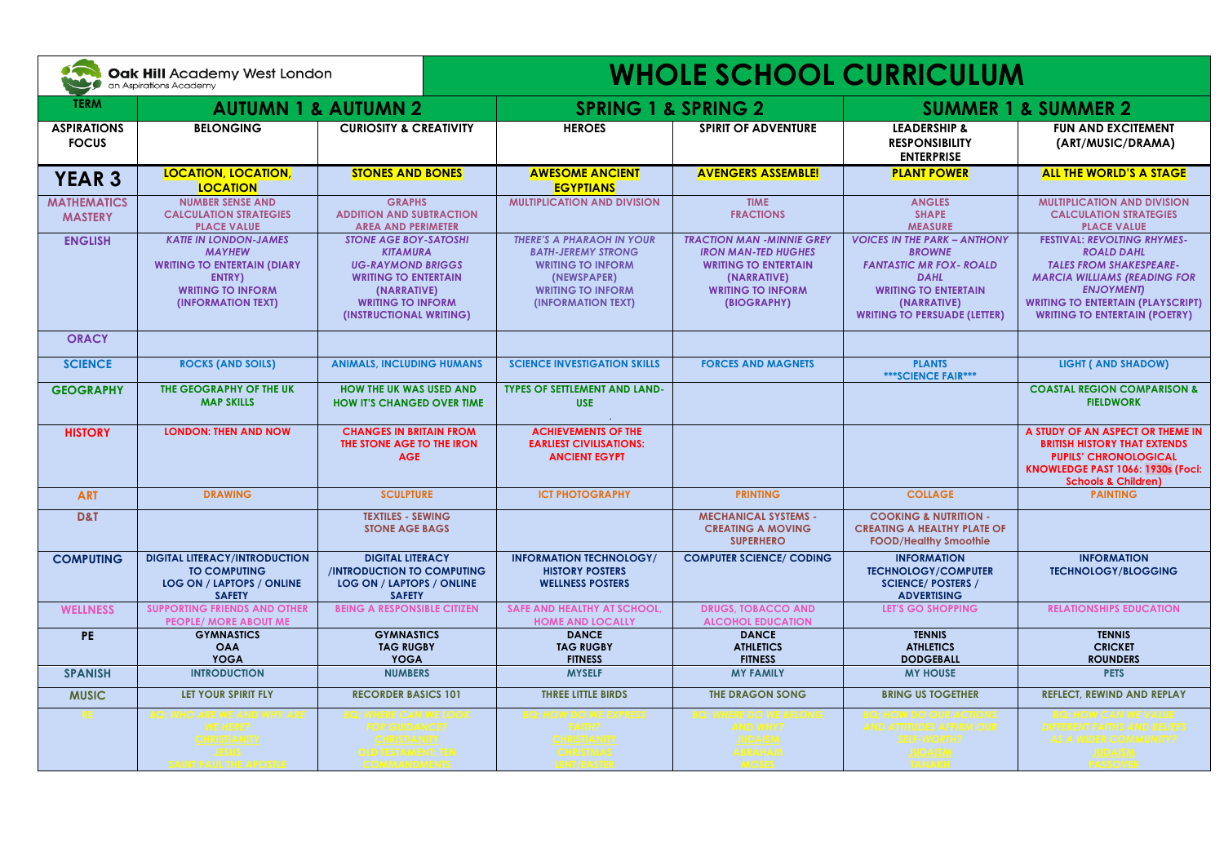| $\delta$<br>Oak Hill Academy West London<br>an Aspirations Academy |                                                                                                                                                 |                                                                                                                                                                                  | <b>WHOLE SCHOOL CURRICULUM</b>                                                                                                                             |                                                                                                                                                         |                                                                                                                                                                                            |                                                                                                                                                                                                                                          |  |
|--------------------------------------------------------------------|-------------------------------------------------------------------------------------------------------------------------------------------------|----------------------------------------------------------------------------------------------------------------------------------------------------------------------------------|------------------------------------------------------------------------------------------------------------------------------------------------------------|---------------------------------------------------------------------------------------------------------------------------------------------------------|--------------------------------------------------------------------------------------------------------------------------------------------------------------------------------------------|------------------------------------------------------------------------------------------------------------------------------------------------------------------------------------------------------------------------------------------|--|
| <b>TERM</b>                                                        | <b>AUTUMN 1 &amp; AUTUMN 2</b>                                                                                                                  |                                                                                                                                                                                  | <b>SPRING 1 &amp; SPRING 2</b>                                                                                                                             |                                                                                                                                                         | <b>SUMMER 1 &amp; SUMMER 2</b>                                                                                                                                                             |                                                                                                                                                                                                                                          |  |
| <b>ASPIRATIONS</b><br><b>FOCUS</b>                                 | <b>BELONGING</b>                                                                                                                                | <b>CURIOSITY &amp; CREATIVITY</b>                                                                                                                                                | <b>HEROES</b>                                                                                                                                              | <b>SPIRIT OF ADVENTURE</b>                                                                                                                              | <b>LEADERSHIP &amp;</b><br><b>RESPONSIBILITY</b><br><b>ENTERPRISE</b>                                                                                                                      | <b>FUN AND EXCITEMENT</b><br>(ART/MUSIC/DRAMA)                                                                                                                                                                                           |  |
| <b>YEAR 3</b>                                                      | <b>LOCATION, LOCATION,</b><br><b>LOCATION</b>                                                                                                   | <b>STONES AND BONES</b>                                                                                                                                                          | <b>AWESOME ANCIENT</b><br><b>EGYPTIANS</b>                                                                                                                 | <b>AVENGERS ASSEMBLE!</b>                                                                                                                               | <b>PLANT POWER</b>                                                                                                                                                                         | <b>ALL THE WORLD'S A STAGE</b>                                                                                                                                                                                                           |  |
| <b>MATHEMATICS</b><br><b>MASTERY</b>                               | <b>NUMBER SENSE AND</b><br><b>CALCULATION STRATEGIES</b><br><b>PLACE VALUE</b>                                                                  | <b>GRAPHS</b><br><b>ADDITION AND SUBTRACTION</b><br><b>AREA AND PERIMETER</b>                                                                                                    | <b>MULTIPLICATION AND DIVISION</b>                                                                                                                         | <b>TIME</b><br><b>FRACTIONS</b>                                                                                                                         | <b>ANGLES</b><br><b>SHAPE</b><br><b>MEASURE</b>                                                                                                                                            | <b>MULTIPLICATION AND DIVISION</b><br><b>CALCULATION STRATEGIES</b><br><b>PLACE VALUE</b>                                                                                                                                                |  |
| <b>ENGLISH</b>                                                     | <b>KATIE IN LONDON-JAMES</b><br><b>MAYHEW</b><br><b>WRITING TO ENTERTAIN (DIARY</b><br>ENTRY)<br><b>WRITING TO INFORM</b><br>(INFORMATION TEXT) | <b>STONE AGE BOY-SATOSHI</b><br><b>KITAMURA</b><br><b>UG-RAYMOND BRIGGS</b><br><b>WRITING TO ENTERTAIN</b><br>(NARRATIVE)<br><b>WRITING TO INFORM</b><br>(INSTRUCTIONAL WRITING) | <b>THERE'S A PHARAOH IN YOUR</b><br><b>BATH-JEREMY STRONG</b><br><b>WRITING TO INFORM</b><br>(NEWSPAPER)<br><b>WRITING TO INFORM</b><br>(INFORMATION TEXT) | <b>TRACTION MAN -MINNIE GREY</b><br><b>IRON MAN-TED HUGHES</b><br><b>WRITING TO ENTERTAIN</b><br>(NARRATIVE)<br><b>WRITING TO INFORM</b><br>(BIOGRAPHY) | <b>VOICES IN THE PARK - ANTHONY</b><br><b>BROWNE</b><br><b>FANTASTIC MR FOX- ROALD</b><br><b>DAHL</b><br><b>WRITING TO ENTERTAIN</b><br>(NARRATIVE)<br><b>WRITING TO PERSUADE (LETTER)</b> | <b>FESTIVAL: REVOLTING RHYMES-</b><br><b>ROALD DAHL</b><br><b>TALES FROM SHAKESPEARE-</b><br><b>MARCIA WILLIAMS (READING FOR</b><br><b>ENJOYMENT</b><br><b>WRITING TO ENTERTAIN (PLAYSCRIPT)</b><br><b>WRITING TO ENTERTAIN (POETRY)</b> |  |
| <b>ORACY</b>                                                       |                                                                                                                                                 |                                                                                                                                                                                  |                                                                                                                                                            |                                                                                                                                                         |                                                                                                                                                                                            |                                                                                                                                                                                                                                          |  |
| <b>SCIENCE</b>                                                     | <b>ROCKS (AND SOILS)</b>                                                                                                                        | <b>ANIMALS, INCLUDING HUMANS</b>                                                                                                                                                 | <b>SCIENCE INVESTIGATION SKILLS</b>                                                                                                                        | <b>FORCES AND MAGNETS</b>                                                                                                                               | <b>PLANTS</b><br>*** SCIENCE FAIR***                                                                                                                                                       | <b>LIGHT ( AND SHADOW)</b>                                                                                                                                                                                                               |  |
| <b>GEOGRAPHY</b>                                                   | THE GEOGRAPHY OF THE UK<br><b>MAP SKILLS</b>                                                                                                    | <b>HOW THE UK WAS USED AND</b><br><b>HOW IT'S CHANGED OVER TIME</b>                                                                                                              | <b>TYPES OF SETTLEMENT AND LAND-</b><br><b>USE</b>                                                                                                         |                                                                                                                                                         |                                                                                                                                                                                            | <b>COASTAL REGION COMPARISON &amp;</b><br><b>FIELDWORK</b>                                                                                                                                                                               |  |
| <b>HISTORY</b>                                                     | <b>LONDON: THEN AND NOW</b>                                                                                                                     | <b>CHANGES IN BRITAIN FROM</b><br>THE STONE AGE TO THE IRON<br><b>AGE</b>                                                                                                        | <b>ACHIEVEMENTS OF THE</b><br><b>EARLIEST CIVILISATIONS:</b><br><b>ANCIENT EGYPT</b>                                                                       |                                                                                                                                                         |                                                                                                                                                                                            | A STUDY OF AN ASPECT OR THEME IN<br><b>BRITISH HISTORY THAT EXTENDS</b><br><b>PUPILS' CHRONOLOGICAL</b><br>KNOWLEDGE PAST 1066: 1930s (Foci:<br><b>Schools &amp; Children)</b>                                                           |  |
| <b>ART</b>                                                         | <b>DRAWING</b>                                                                                                                                  | <b>SCULPTURE</b>                                                                                                                                                                 | <b>ICT PHOTOGRAPHY</b>                                                                                                                                     | <b>PRINTING</b>                                                                                                                                         | <b>COLLAGE</b>                                                                                                                                                                             | <b>PAINTING</b>                                                                                                                                                                                                                          |  |
| D&T                                                                |                                                                                                                                                 | <b>TEXTILES - SEWING</b><br><b>STONE AGE BAGS</b>                                                                                                                                |                                                                                                                                                            | <b>MECHANICAL SYSTEMS -</b><br><b>CREATING A MOVING</b><br><b>SUPERHERO</b>                                                                             | <b>COOKING &amp; NUTRITION -</b><br><b>CREATING A HEALTHY PLATE OF</b><br><b>FOOD/Healthy Smoothie</b>                                                                                     |                                                                                                                                                                                                                                          |  |
| <b>COMPUTING</b>                                                   | <b>DIGITAL LITERACY/INTRODUCTION</b><br><b>TO COMPUTING</b><br>LOG ON / LAPTOPS / ONLINE<br><b>SAFETY</b>                                       | <b>DIGITAL LITERACY</b><br><b>/INTRODUCTION TO COMPUTING</b><br>LOG ON / LAPTOPS / ONLINE<br><b>SAFETY</b>                                                                       | <b>INFORMATION TECHNOLOGY/</b><br><b>HISTORY POSTERS</b><br><b>WELLNESS POSTERS</b>                                                                        | <b>COMPUTER SCIENCE/ CODING</b>                                                                                                                         | <b>INFORMATION</b><br><b>TECHNOLOGY/COMPUTER</b><br><b>SCIENCE/ POSTERS /</b><br><b>ADVERTISING</b>                                                                                        | <b>INFORMATION</b><br><b>TECHNOLOGY/BLOGGING</b>                                                                                                                                                                                         |  |
| <b>WELLNESS</b>                                                    | <b>SUPPORTING FRIENDS AND OTHER</b><br><b>PEOPLE/ MORE ABOUT ME</b>                                                                             | <b>BEING A RESPONSIBLE CITIZEN</b>                                                                                                                                               | <b>SAFE AND HEALTHY AT SCHOOL.</b><br><b>HOME AND LOCALLY</b>                                                                                              | <b>DRUGS, TOBACCO AND</b><br><b>ALCOHOL EDUCATION</b>                                                                                                   | <b>LET'S GO SHOPPING</b>                                                                                                                                                                   | <b>RELATIONSHIPS EDUCATION</b>                                                                                                                                                                                                           |  |
| PE                                                                 | <b>GYMNASTICS</b><br><b>OAA</b><br><b>YOGA</b>                                                                                                  | <b>GYMNASTICS</b><br><b>TAG RUGBY</b><br><b>YOGA</b>                                                                                                                             | <b>DANCE</b><br><b>TAG RUGBY</b><br><b>FITNESS</b>                                                                                                         | <b>DANCE</b><br><b>ATHLETICS</b><br><b>FITNESS</b>                                                                                                      | <b>TENNIS</b><br><b>ATHLETICS</b><br><b>DODGEBALL</b>                                                                                                                                      | <b>TENNIS</b><br><b>CRICKET</b><br><b>ROUNDERS</b>                                                                                                                                                                                       |  |
| <b>SPANISH</b>                                                     | <b>INTRODUCTION</b>                                                                                                                             | <b>NUMBERS</b>                                                                                                                                                                   | <b>MYSELF</b>                                                                                                                                              | <b>MY FAMILY</b>                                                                                                                                        | <b>MY HOUSE</b>                                                                                                                                                                            | <b>PETS</b>                                                                                                                                                                                                                              |  |
| <b>MUSIC</b>                                                       | LET YOUR SPIRIT FLY                                                                                                                             | <b>RECORDER BASICS 101</b>                                                                                                                                                       | THREE LITTLE BIRDS                                                                                                                                         | <b>THE DRAGON SONG</b>                                                                                                                                  | <b>BRING US TOGETHER</b>                                                                                                                                                                   | <b>REFLECT, REWIND AND REPLAY</b>                                                                                                                                                                                                        |  |
| RE.                                                                | Q: WHO ARE WE AND WHY AR<br><b>WE HERE?</b><br><b>CHRISTIANITY</b><br><b>JESUS</b><br>SAINT PAUL THE APOSTLE                                    | BQ: WHERE CAN WE LOOK<br><b>FOR GUIDANCE?</b><br><b>CHRISTIANITY</b><br><b>OLD TESTAMENT: TEN</b><br><b>COMMANDMENTS</b>                                                         | <b>BQ: HOW DO WE EXPRESS</b><br><b>FAITH?</b><br><b>CHRISTIANITY</b><br><b>CHRISTMAS</b><br>LENT/EASTER                                                    | <b>3Q: WHERE DO WE BELONG</b><br><b>AND WHY?</b><br><b>JUDAISM</b><br><b>ABRAHAM</b><br><b>MOSES</b>                                                    | <b>8Q: HOW DO OUR ACTIONS</b><br><b>AND ATTITUDES AFFIRM OUR</b><br><b>SELF-WORTH?</b><br><b>JUDAISM</b><br><b>TANAKH</b>                                                                  | <b>BQ: HOW CAN WE VALUE</b><br><b>DIFFERENT FAITHS AND BELIEFS</b><br><b>AS A WIDER COMMUNITY?</b><br><b>JUDAISM</b><br><b>PASSOVER</b>                                                                                                  |  |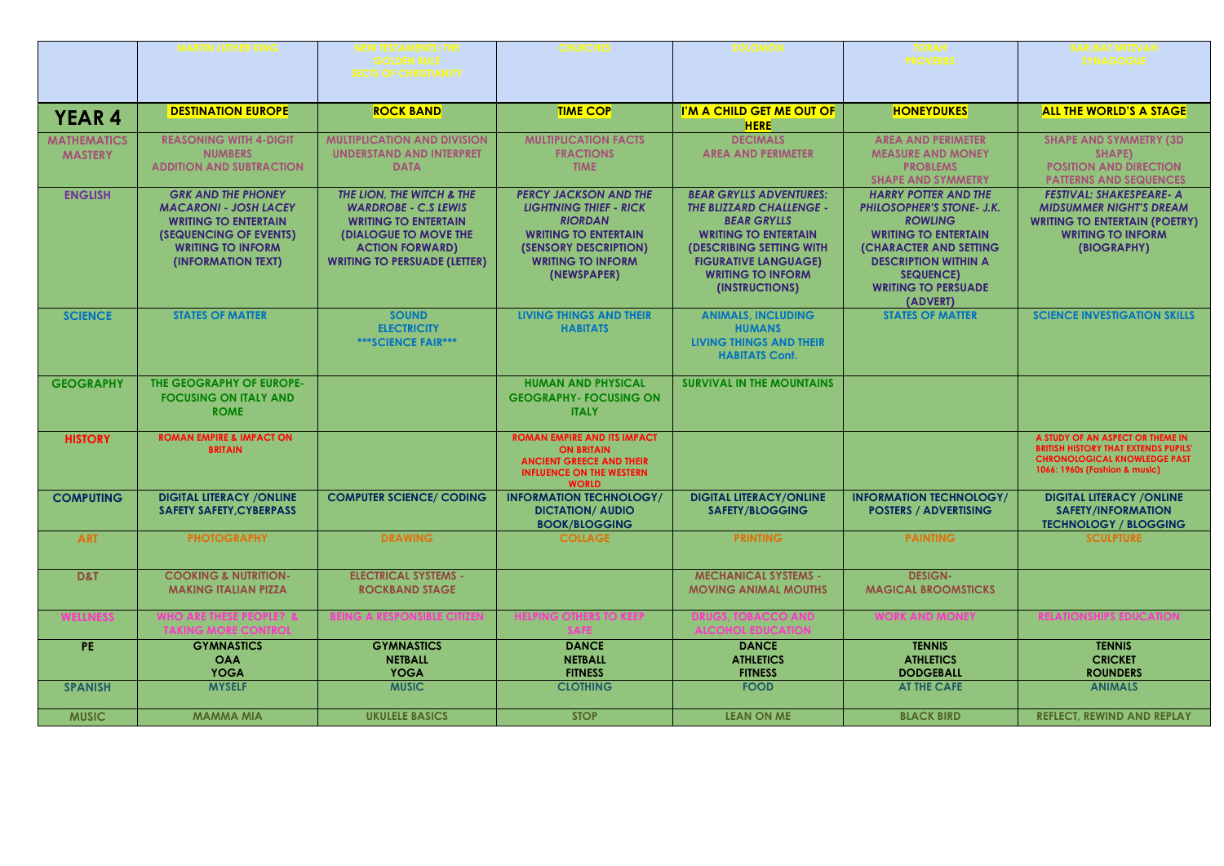|                                      | <b>MARTIN LUTHER KING</b>                                                                                                                                            | <b>NEW TESTAMENTS: THE</b><br><b>GOLDEN RULE</b><br><b>SECTS OF CHRISTIANITY</b>                                                                                                         | <b>CHURCHES</b>                                                                                                                                                                    | <b>SOLOMON</b>                                                                                                                                                                                                                         | <b>TORAH</b><br><b>PROVERBS</b>                                                                                                                                                                                                                | <b>BAR/BAT MITZVAH</b><br><b>SYNAGOGUE</b>                                                                                                              |
|--------------------------------------|----------------------------------------------------------------------------------------------------------------------------------------------------------------------|------------------------------------------------------------------------------------------------------------------------------------------------------------------------------------------|------------------------------------------------------------------------------------------------------------------------------------------------------------------------------------|----------------------------------------------------------------------------------------------------------------------------------------------------------------------------------------------------------------------------------------|------------------------------------------------------------------------------------------------------------------------------------------------------------------------------------------------------------------------------------------------|---------------------------------------------------------------------------------------------------------------------------------------------------------|
| <b>YEAR 4</b>                        | <b>DESTINATION EUROPE</b>                                                                                                                                            | <b>ROCK BAND</b>                                                                                                                                                                         | <b>TIME COP</b>                                                                                                                                                                    | I'M A CHILD GET ME OUT OF<br><b>HERE</b>                                                                                                                                                                                               | <b>HONEYDUKES</b>                                                                                                                                                                                                                              | <b>ALL THE WORLD'S A STAGE</b>                                                                                                                          |
| <b>MATHEMATICS</b><br><b>MASTERY</b> | <b>REASONING WITH 4-DIGIT</b><br><b>NUMBERS</b><br><b>ADDITION AND SUBTRACTION</b>                                                                                   | <b>MULTIPLICATION AND DIVISION</b><br><b>UNDERSTAND AND INTERPRET</b><br><b>DATA</b>                                                                                                     | <b>MULTIPLICATION FACTS</b><br><b>FRACTIONS</b><br><b>TIME</b>                                                                                                                     | <b>DECIMALS</b><br><b>AREA AND PERIMETER</b>                                                                                                                                                                                           | <b>AREA AND PERIMETER</b><br><b>MEASURE AND MONEY</b><br><b>PROBLEMS</b><br><b>SHAPE AND SYMMETRY</b>                                                                                                                                          | <b>SHAPE AND SYMMETRY (3D)</b><br>SHAPE)<br><b>POSITION AND DIRECTION</b><br><b>PATTERNS AND SEQUENCES</b>                                              |
| <b>ENGLISH</b>                       | <b>GRK AND THE PHONEY</b><br><b>MACARONI - JOSH LACEY</b><br><b>WRITING TO ENTERTAIN</b><br>(SEQUENCING OF EVENTS)<br><b>WRITING TO INFORM</b><br>(INFORMATION TEXT) | THE LION. THE WITCH & THE<br><b>WARDROBE - C.S LEWIS</b><br><b>WRITING TO ENTERTAIN</b><br><b>(DIALOGUE TO MOVE THE</b><br><b>ACTION FORWARD)</b><br><b>WRITING TO PERSUADE (LETTER)</b> | <b>PERCY JACKSON AND THE</b><br><b>LIGHTNING THIEF - RICK</b><br><b>RIORDAN</b><br><b>WRITING TO ENTERTAIN</b><br>(SENSORY DESCRIPTION)<br><b>WRITING TO INFORM</b><br>(NEWSPAPER) | <b>BEAR GRYLLS ADVENTURES:</b><br><b>THE BLIZZARD CHALLENGE -</b><br><b>BEAR GRYLLS</b><br><b>WRITING TO ENTERTAIN</b><br><b>(DESCRIBING SETTING WITH</b><br><b>FIGURATIVE LANGUAGE)</b><br><b>WRITING TO INFORM</b><br>(INSTRUCTIONS) | <b>HARRY POTTER AND THE</b><br><b>PHILOSOPHER'S STONE- J.K.</b><br><b>ROWLING</b><br><b>WRITING TO ENTERTAIN</b><br><b>(CHARACTER AND SETTING</b><br><b>DESCRIPTION WITHIN A</b><br><b>SEQUENCE)</b><br><b>WRITING TO PERSUADE</b><br>(ADVERT) | <b>FESTIVAL: SHAKESPEARE- A</b><br><b>MIDSUMMER NIGHT'S DREAM</b><br><b>WRITING TO ENTERTAIN (POETRY)</b><br><b>WRITING TO INFORM</b><br>(BIOGRAPHY)    |
| <b>SCIENCE</b>                       | <b>STATES OF MATTER</b>                                                                                                                                              | <b>SOUND</b><br><b>ELECTRICITY</b><br><b>***SCIENCE FAIR***</b>                                                                                                                          | <b>LIVING THINGS AND THEIR</b><br><b>HABITATS</b>                                                                                                                                  | <b>ANIMALS, INCLUDING</b><br><b>HUMANS</b><br><b>LIVING THINGS AND THEIR</b><br><b>HABITATS Cont.</b>                                                                                                                                  | <b>STATES OF MATTER</b>                                                                                                                                                                                                                        | <b>SCIENCE INVESTIGATION SKILLS</b>                                                                                                                     |
| <b>GEOGRAPHY</b>                     | <b>THE GEOGRAPHY OF EUROPE-</b><br><b>FOCUSING ON ITALY AND</b><br><b>ROME</b>                                                                                       |                                                                                                                                                                                          | <b>HUMAN AND PHYSICAL</b><br><b>GEOGRAPHY- FOCUSING ON</b><br><b>ITALY</b>                                                                                                         | <b>SURVIVAL IN THE MOUNTAINS</b>                                                                                                                                                                                                       |                                                                                                                                                                                                                                                |                                                                                                                                                         |
| <b>HISTORY</b>                       | <b>ROMAN EMPIRE &amp; IMPACT ON</b><br><b>BRITAIN</b>                                                                                                                |                                                                                                                                                                                          | <b>ROMAN EMPIRE AND ITS IMPACT</b><br><b>ON BRITAIN</b><br><b>ANCIENT GREECE AND THEIR</b><br><b>INFLUENCE ON THE WESTERN</b><br><b>WORLD</b>                                      |                                                                                                                                                                                                                                        |                                                                                                                                                                                                                                                | A STUDY OF AN ASPECT OR THEME IN<br><b>BRITISH HISTORY THAT EXTENDS PUPILS'</b><br><b>CHRONOLOGICAL KNOWLEDGE PAST</b><br>1066: 1960s (Fashion & music) |
| <b>COMPUTING</b>                     | <b>DIGITAL LITERACY / ONLINE</b><br><b>SAFETY SAFETY.CYBERPASS</b>                                                                                                   | <b>COMPUTER SCIENCE/ CODING</b>                                                                                                                                                          | <b>INFORMATION TECHNOLOGY/</b><br><b>DICTATION/ AUDIO</b><br><b>BOOK/BLOGGING</b>                                                                                                  | <b>DIGITAL LITERACY/ONLINE</b><br><b>SAFETY/BLOGGING</b>                                                                                                                                                                               | <b>INFORMATION TECHNOLOGY/</b><br><b>POSTERS / ADVERTISING</b>                                                                                                                                                                                 | <b>DIGITAL LITERACY / ONLINE</b><br><b>SAFETY/INFORMATION</b><br><b>TECHNOLOGY / BLOGGING</b>                                                           |
| <b>ART</b>                           | <b>PHOTOGRAPHY</b>                                                                                                                                                   | <b>DRAWING</b>                                                                                                                                                                           | <b>COLLAGE</b>                                                                                                                                                                     | <b>PRINTING</b>                                                                                                                                                                                                                        | <b>PAINTING</b>                                                                                                                                                                                                                                | <b>SCULPTURE</b>                                                                                                                                        |
| D&T                                  | <b>COOKING &amp; NUTRITION-</b><br><b>MAKING ITALIAN PIZZA</b>                                                                                                       | <b>ELECTRICAL SYSTEMS -</b><br><b>ROCKBAND STAGE</b>                                                                                                                                     |                                                                                                                                                                                    | <b>MECHANICAL SYSTEMS -</b><br><b>MOVING ANIMAL MOUTHS</b>                                                                                                                                                                             | <b>DESIGN-</b><br><b>MAGICAL BROOMSTICKS</b>                                                                                                                                                                                                   |                                                                                                                                                         |
|                                      |                                                                                                                                                                      | ING A RESPONSIBLE (                                                                                                                                                                      |                                                                                                                                                                                    |                                                                                                                                                                                                                                        |                                                                                                                                                                                                                                                | ELATIONSHIPS ED                                                                                                                                         |
| PE.                                  | <b>GYMNASTICS</b><br><b>OAA</b><br><b>YOGA</b>                                                                                                                       | <b>GYMNASTICS</b><br><b>NETBALL</b><br><b>YOGA</b>                                                                                                                                       | <b>DANCE</b><br><b>NETBALL</b><br><b>FITNESS</b>                                                                                                                                   | <b>DANCE</b><br><b>ATHLETICS</b><br><b>FITNESS</b>                                                                                                                                                                                     | <b>TENNIS</b><br><b>ATHLETICS</b><br><b>DODGEBALL</b>                                                                                                                                                                                          | <b>TENNIS</b><br><b>CRICKET</b><br><b>ROUNDERS</b>                                                                                                      |
| <b>SPANISH</b>                       | <b>MYSELF</b>                                                                                                                                                        | <b>MUSIC</b>                                                                                                                                                                             | <b>CLOTHING</b>                                                                                                                                                                    | <b>FOOD</b>                                                                                                                                                                                                                            | <b>AT THE CAFE</b>                                                                                                                                                                                                                             | <b>ANIMALS</b>                                                                                                                                          |
| <b>MUSIC</b>                         | <b>MAMMA MIA</b>                                                                                                                                                     | <b>UKULELE BASICS</b>                                                                                                                                                                    | <b>STOP</b>                                                                                                                                                                        | <b>LEAN ON ME</b>                                                                                                                                                                                                                      | <b>BLACK BIRD</b>                                                                                                                                                                                                                              | <b>REFLECT, REWIND AND REPLAY</b>                                                                                                                       |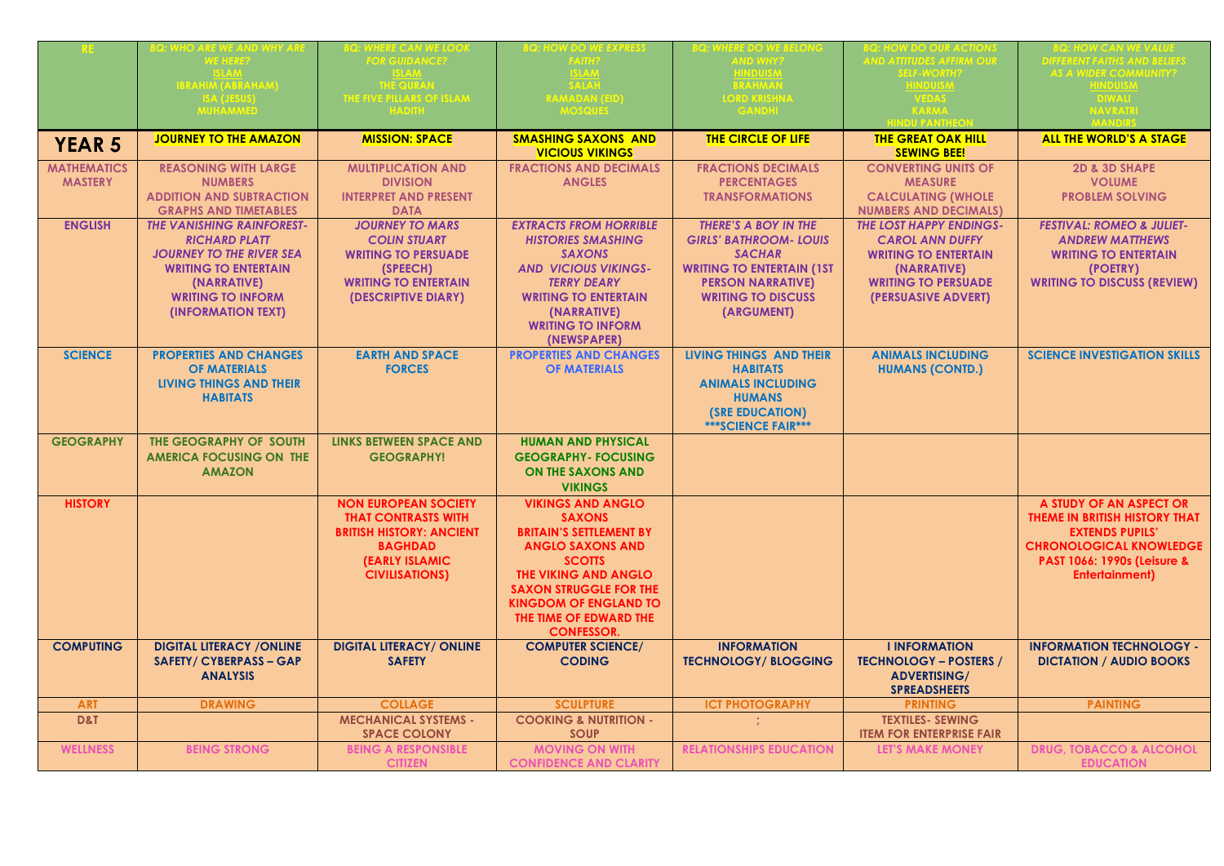|                    | <b>HO ARE WE AND WHY ARI</b>     | <b>VHERE CAN WE LOO.</b>                      | OW DO WE EXPRES:                                     | <b>HERE DO WE BELON</b>          | Q: HOW DO OUR ACTION                            | <b>BQ: HOW CAN WE VALUE</b>            |
|--------------------|----------------------------------|-----------------------------------------------|------------------------------------------------------|----------------------------------|-------------------------------------------------|----------------------------------------|
|                    |                                  | <b>FOR GUIDANCE?</b>                          |                                                      | <b>AND WHY?</b>                  | ND ATTITUDES AFFIRM OU                          |                                        |
|                    |                                  |                                               | <b>SLAM</b>                                          | <b>IINDUISM</b>                  |                                                 |                                        |
|                    | BRAHIM (ABRAHAM)                 | <b>THE QURAN</b>                              | <b>SALAH</b>                                         | <b>BRAHMAN</b>                   | HNDUIST                                         |                                        |
|                    |                                  | <b>E FIVE PILLARS OF ISLAN</b>                |                                                      |                                  |                                                 |                                        |
|                    |                                  |                                               | <b>MOSQUES</b>                                       | GANDHL                           | KARMA                                           | <b>JAVRATR</b>                         |
|                    |                                  |                                               |                                                      |                                  |                                                 |                                        |
| <b>YEAR 5</b>      | <b>JOURNEY TO THE AMAZON</b>     | <b>MISSION: SPACE</b>                         | <b>SMASHING SAXONS AND</b><br><b>VICIOUS VIKINGS</b> | <b>THE CIRCLE OF LIFE</b>        | <b>THE GREAT OAK HILL</b><br><b>SEWING BEE!</b> | <b>ALL THE WORLD'S A STAGE</b>         |
| <b>MATHEMATICS</b> | <b>REASONING WITH LARGE</b>      | <b>MULTIPLICATION AND</b>                     | <b>FRACTIONS AND DECIMALS</b>                        | <b>FRACTIONS DECIMALS</b>        | <b>CONVERTING UNITS OF</b>                      | <b>2D &amp; 3D SHAPE</b>               |
| <b>MASTERY</b>     | <b>NUMBERS</b>                   | <b>DIVISION</b>                               | <b>ANGLES</b>                                        | <b>PERCENTAGES</b>               | <b>MEASURE</b>                                  | <b>VOLUME</b>                          |
|                    | <b>ADDITION AND SUBTRACTION</b>  | <b>INTERPRET AND PRESENT</b>                  |                                                      | <b>TRANSFORMATIONS</b>           | <b>CALCULATING (WHOLE</b>                       | <b>PROBLEM SOLVING</b>                 |
|                    | <b>GRAPHS AND TIMETABLES</b>     | <b>DATA</b>                                   |                                                      |                                  | <b>NUMBERS AND DECIMALS)</b>                    |                                        |
| <b>ENGLISH</b>     | <b>THE VANISHING RAINFOREST-</b> | <b>JOURNEY TO MARS</b>                        | <b>EXTRACTS FROM HORRIBLE</b>                        | THERE'S A BOY IN THE             | <b>THE LOST HAPPY ENDINGS-</b>                  | <b>FESTIVAL: ROMEO &amp; JULIET-</b>   |
|                    | <b>RICHARD PLATT</b>             | <b>COLIN STUART</b>                           | <b>HISTORIES SMASHING</b>                            | <b>GIRLS' BATHROOM-LOUIS</b>     | <b>CAROL ANN DUFFY</b>                          | <b>ANDREW MATTHEWS</b>                 |
|                    | <b>JOURNEY TO THE RIVER SEA</b>  | <b>WRITING TO PERSUADE</b>                    | <b>SAXONS</b>                                        | <b>SACHAR</b>                    | <b>WRITING TO ENTERTAIN</b>                     | <b>WRITING TO ENTERTAIN</b>            |
|                    | <b>WRITING TO ENTERTAIN</b>      | (SPEECH)                                      | <b>AND VICIOUS VIKINGS-</b>                          | <b>WRITING TO ENTERTAIN (1ST</b> | (NARRATIVE)                                     | (POETRY)                               |
|                    | (NARRATIVE)                      | <b>WRITING TO ENTERTAIN</b>                   | <b>TERRY DEARY</b>                                   | <b>PERSON NARRATIVE)</b>         | <b>WRITING TO PERSUADE</b>                      | <b>WRITING TO DISCUSS (REVIEW)</b>     |
|                    | <b>WRITING TO INFORM</b>         | (DESCRIPTIVE DIARY)                           | <b>WRITING TO ENTERTAIN</b>                          | <b>WRITING TO DISCUSS</b>        | (PERSUASIVE ADVERT)                             |                                        |
|                    | (INFORMATION TEXT)               |                                               | (NARRATIVE)                                          | (ARGUMENT)                       |                                                 |                                        |
|                    |                                  |                                               | <b>WRITING TO INFORM</b>                             |                                  |                                                 |                                        |
|                    |                                  |                                               | (NEWSPAPER)                                          |                                  |                                                 |                                        |
| <b>SCIENCE</b>     | <b>PROPERTIES AND CHANGES</b>    | <b>EARTH AND SPACE</b>                        | <b>PROPERTIES AND CHANGES</b>                        | <b>LIVING THINGS AND THEIR</b>   | <b>ANIMALS INCLUDING</b>                        | <b>SCIENCE INVESTIGATION SKILLS</b>    |
|                    | <b>OF MATERIALS</b>              | <b>FORCES</b>                                 | <b>OF MATERIALS</b>                                  | <b>HABITATS</b>                  | <b>HUMANS (CONTD.)</b>                          |                                        |
|                    | LIVING THINGS AND THEIR          |                                               |                                                      | <b>ANIMALS INCLUDING</b>         |                                                 |                                        |
|                    | <b>HABITATS</b>                  |                                               |                                                      | <b>HUMANS</b>                    |                                                 |                                        |
|                    |                                  |                                               |                                                      | <b>(SRE EDUCATION)</b>           |                                                 |                                        |
|                    |                                  |                                               |                                                      | *** SCIENCE FAIR***              |                                                 |                                        |
| <b>GEOGRAPHY</b>   | THE GEOGRAPHY OF SOUTH           | <b>LINKS BETWEEN SPACE AND</b>                | <b>HUMAN AND PHYSICAL</b>                            |                                  |                                                 |                                        |
|                    | <b>AMERICA FOCUSING ON THE</b>   | <b>GEOGRAPHY!</b>                             | <b>GEOGRAPHY- FOCUSING</b>                           |                                  |                                                 |                                        |
|                    | <b>AMAZON</b>                    |                                               | <b>ON THE SAXONS AND</b>                             |                                  |                                                 |                                        |
|                    |                                  |                                               |                                                      |                                  |                                                 |                                        |
|                    |                                  |                                               | <b>VIKINGS</b>                                       |                                  |                                                 |                                        |
| <b>HISTORY</b>     |                                  | <b>NON EUROPEAN SOCIETY</b>                   | <b>VIKINGS AND ANGLO</b>                             |                                  |                                                 | A STUDY OF AN ASPECT OR                |
|                    |                                  | <b>THAT CONTRASTS WITH</b>                    | <b>SAXONS</b>                                        |                                  |                                                 | THEME IN BRITISH HISTORY THAT          |
|                    |                                  | <b>BRITISH HISTORY: ANCIENT</b>               | <b>BRITAIN'S SETTLEMENT BY</b>                       |                                  |                                                 | <b>EXTENDS PUPILS'</b>                 |
|                    |                                  | <b>BAGHDAD</b>                                | <b>ANGLO SAXONS AND</b>                              |                                  |                                                 | <b>CHRONOLOGICAL KNOWLEDGE</b>         |
|                    |                                  | <b>(EARLY ISLAMIC)</b>                        | <b>SCOTTS</b>                                        |                                  |                                                 | <b>PAST 1066: 1990s (Leisure &amp;</b> |
|                    |                                  | <b>CIVILISATIONS)</b>                         | THE VIKING AND ANGLO                                 |                                  |                                                 | <b>Entertainment)</b>                  |
|                    |                                  |                                               | <b>SAXON STRUGGLE FOR THE</b>                        |                                  |                                                 |                                        |
|                    |                                  |                                               | <b>KINGDOM OF ENGLAND TO</b>                         |                                  |                                                 |                                        |
|                    |                                  |                                               | THE TIME OF EDWARD THE                               |                                  |                                                 |                                        |
|                    |                                  |                                               | <b>CONFESSOR.</b>                                    |                                  |                                                 |                                        |
| <b>COMPUTING</b>   | <b>DIGITAL LITERACY / ONLINE</b> | <b>DIGITAL LITERACY/ ONLINE</b>               | <b>COMPUTER SCIENCE/</b>                             | <b>INFORMATION</b>               | <b>I INFORMATION</b>                            | <b>INFORMATION TECHNOLOGY -</b>        |
|                    | <b>SAFETY/ CYBERPASS - GAP</b>   | <b>SAFETY</b>                                 | <b>CODING</b>                                        | <b>TECHNOLOGY/BLOGGING</b>       | <b>TECHNOLOGY - POSTERS /</b>                   | <b>DICTATION / AUDIO BOOKS</b>         |
|                    | <b>ANALYSIS</b>                  |                                               |                                                      |                                  | <b>ADVERTISING/</b>                             |                                        |
|                    |                                  |                                               |                                                      |                                  | <b>SPREADSHEETS</b>                             |                                        |
| <b>ART</b>         | <b>DRAWING</b>                   | <b>COLLAGE</b><br><b>MECHANICAL SYSTEMS -</b> | <b>SCULPTURE</b><br><b>COOKING &amp; NUTRITION -</b> | <b>ICT PHOTOGRAPHY</b>           | <b>PRINTING</b>                                 | <b>PAINTING</b>                        |
| D&T                |                                  |                                               |                                                      | ÷                                | <b>TEXTILES- SEWING</b>                         |                                        |
|                    |                                  | <b>SPACE COLONY</b>                           | <b>SOUP</b>                                          |                                  | <b>ITEM FOR ENTERPRISE FAIR</b>                 |                                        |
| <b>WELLNESS</b>    | <b>BEING STRONG</b>              | <b>BEING A RESPONSIBLE</b>                    | <b>MOVING ON WITH</b>                                | <b>RELATIONSHIPS EDUCATION</b>   | <b>LET'S MAKE MONEY</b>                         | <b>DRUG, TOBACCO &amp; ALCOHOL</b>     |
|                    |                                  | <b>CITIZEN</b>                                | <b>CONFIDENCE AND CLARITY</b>                        |                                  |                                                 | <b>EDUCATION</b>                       |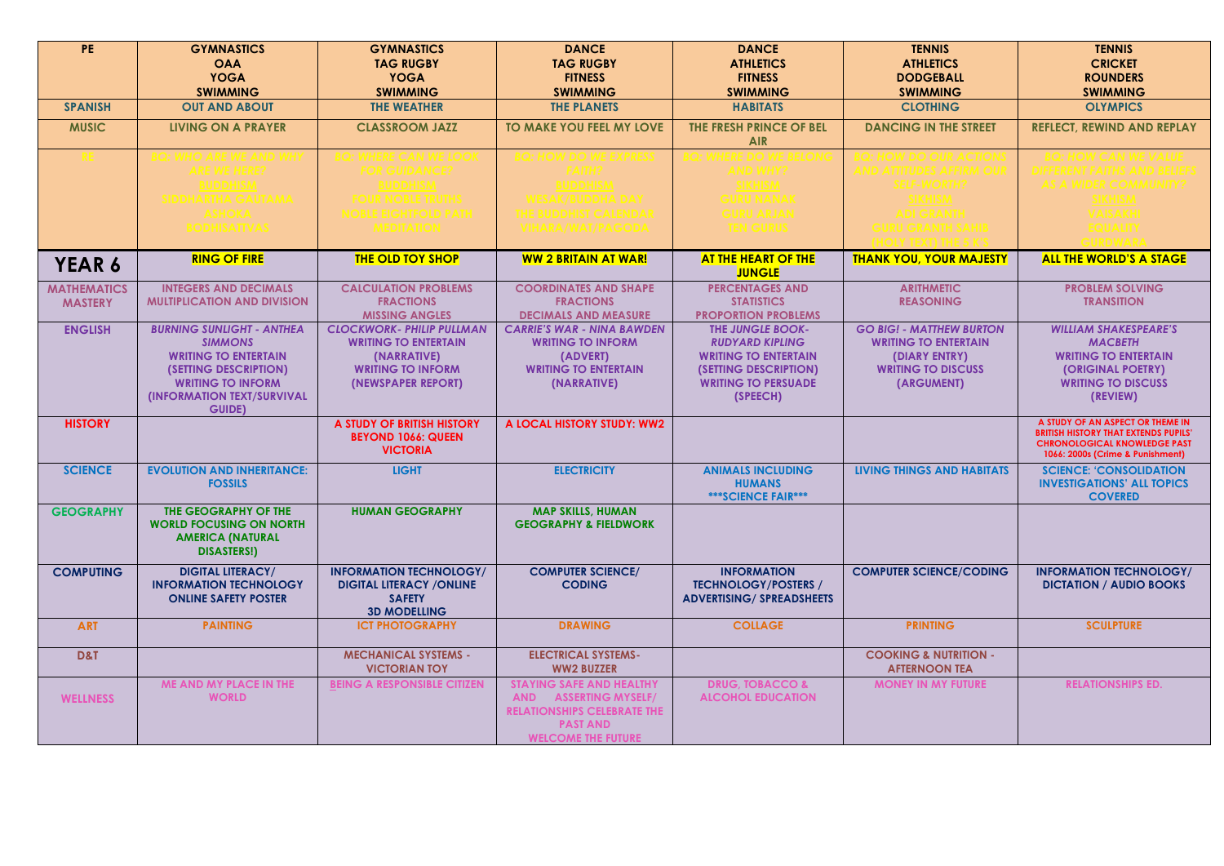| PE                 | <b>GYMNASTICS</b>                                    | <b>GYMNASTICS</b>                       | <b>DANCE</b>                            | <b>DANCE</b>                                          | <b>TENNIS</b>                              | <b>TENNIS</b>                                                                      |
|--------------------|------------------------------------------------------|-----------------------------------------|-----------------------------------------|-------------------------------------------------------|--------------------------------------------|------------------------------------------------------------------------------------|
|                    | <b>OAA</b>                                           | <b>TAG RUGBY</b>                        | <b>TAG RUGBY</b>                        | <b>ATHLETICS</b>                                      | <b>ATHLETICS</b>                           | <b>CRICKET</b>                                                                     |
|                    | <b>YOGA</b>                                          | <b>YOGA</b>                             | <b>FITNESS</b>                          | <b>FITNESS</b>                                        | <b>DODGEBALL</b>                           | <b>ROUNDERS</b>                                                                    |
|                    | <b>SWIMMING</b>                                      | <b>SWIMMING</b>                         | <b>SWIMMING</b>                         | <b>SWIMMING</b>                                       | <b>SWIMMING</b>                            | <b>SWIMMING</b>                                                                    |
| <b>SPANISH</b>     | <b>OUT AND ABOUT</b>                                 | <b>THE WEATHER</b>                      | <b>THE PLANETS</b>                      | <b>HABITATS</b>                                       | <b>CLOTHING</b>                            | <b>OLYMPICS</b>                                                                    |
| <b>MUSIC</b>       | <b>LIVING ON A PRAYER</b>                            | <b>CLASSROOM JAZZ</b>                   | <b>TO MAKE YOU FEEL MY LOVE</b>         | THE FRESH PRINCE OF BEL                               | <b>DANCING IN THE STREET</b>               | <b>REFLECT, REWIND AND REPLAY</b>                                                  |
|                    |                                                      |                                         |                                         | <b>AIR</b>                                            |                                            |                                                                                    |
|                    |                                                      |                                         |                                         |                                                       |                                            |                                                                                    |
|                    |                                                      |                                         |                                         |                                                       |                                            |                                                                                    |
|                    |                                                      |                                         |                                         |                                                       |                                            |                                                                                    |
|                    |                                                      |                                         |                                         |                                                       |                                            |                                                                                    |
|                    |                                                      |                                         |                                         |                                                       |                                            |                                                                                    |
|                    |                                                      |                                         |                                         |                                                       |                                            |                                                                                    |
|                    |                                                      |                                         |                                         |                                                       |                                            |                                                                                    |
| YEAR 6             | <b>RING OF FIRE</b>                                  | <b>THE OLD TOY SHOP</b>                 | <b>WW 2 BRITAIN AT WAR!</b>             | <b>AT THE HEART OF THE</b><br><b>JUNGLE</b>           | <b>THANK YOU, YOUR MAJESTY</b>             | <b>ALL THE WORLD'S A STAGE</b>                                                     |
| <b>MATHEMATICS</b> | <b>INTEGERS AND DECIMALS</b>                         | <b>CALCULATION PROBLEMS</b>             | <b>COORDINATES AND SHAPE</b>            | <b>PERCENTAGES AND</b>                                | <b>ARITHMETIC</b>                          | <b>PROBLEM SOLVING</b>                                                             |
| <b>MASTERY</b>     | <b>MULTIPLICATION AND DIVISION</b>                   | <b>FRACTIONS</b>                        | <b>FRACTIONS</b>                        | <b>STATISTICS</b>                                     | <b>REASONING</b>                           | <b>TRANSITION</b>                                                                  |
|                    |                                                      | <b>MISSING ANGLES</b>                   | <b>DECIMALS AND MEASURE</b>             | <b>PROPORTION PROBLEMS</b>                            |                                            |                                                                                    |
| <b>ENGLISH</b>     | <b>BURNING SUNLIGHT - ANTHEA</b>                     | <b>CLOCKWORK- PHILIP PULLMAN</b>        | <b>CARRIE'S WAR - NINA BAWDEN</b>       | <b>THE JUNGLE BOOK-</b>                               | <b>GO BIG! - MATTHEW BURTON</b>            | <b>WILLIAM SHAKESPEARE'S</b>                                                       |
|                    | <b>SIMMONS</b>                                       | <b>WRITING TO ENTERTAIN</b>             | <b>WRITING TO INFORM</b>                | <b>RUDYARD KIPLING</b><br><b>WRITING TO ENTERTAIN</b> | <b>WRITING TO ENTERTAIN</b>                | <b>MACBETH</b><br><b>WRITING TO ENTERTAIN</b>                                      |
|                    | <b>WRITING TO ENTERTAIN</b><br>(SETTING DESCRIPTION) | (NARRATIVE)<br><b>WRITING TO INFORM</b> | (ADVERT)<br><b>WRITING TO ENTERTAIN</b> | (SETTING DESCRIPTION)                                 | (DIARY ENTRY)<br><b>WRITING TO DISCUSS</b> | (ORIGINAL POETRY)                                                                  |
|                    | <b>WRITING TO INFORM</b>                             | (NEWSPAPER REPORT)                      | (NARRATIVE)                             | <b>WRITING TO PERSUADE</b>                            | (ARGUMENT)                                 | <b>WRITING TO DISCUSS</b>                                                          |
|                    | <b>(INFORMATION TEXT/SURVIVAL</b>                    |                                         |                                         | (SPEECH)                                              |                                            | (REVIEW)                                                                           |
|                    | <b>GUIDE)</b>                                        |                                         |                                         |                                                       |                                            |                                                                                    |
| <b>HISTORY</b>     |                                                      | A STUDY OF BRITISH HISTORY              | A LOCAL HISTORY STUDY: WW2              |                                                       |                                            | A STUDY OF AN ASPECT OR THEME IN                                                   |
|                    |                                                      | <b>BEYOND 1066: QUEEN</b>               |                                         |                                                       |                                            | <b>BRITISH HISTORY THAT EXTENDS PUPILS'</b><br><b>CHRONOLOGICAL KNOWLEDGE PAST</b> |
|                    |                                                      | <b>VICTORIA</b>                         |                                         |                                                       |                                            | 1066: 2000s (Crime & Punishment)                                                   |
| <b>SCIENCE</b>     | <b>EVOLUTION AND INHERITANCE:</b>                    | <b>LIGHT</b>                            | <b>ELECTRICITY</b>                      | <b>ANIMALS INCLUDING</b>                              | <b>LIVING THINGS AND HABITATS</b>          | <b>SCIENCE: 'CONSOLIDATION</b>                                                     |
|                    | <b>FOSSILS</b>                                       |                                         |                                         | <b>HUMANS</b>                                         |                                            | <b>INVESTIGATIONS' ALL TOPICS</b>                                                  |
|                    |                                                      |                                         |                                         | *** SCIENCE FAIR***                                   |                                            | <b>COVERED</b>                                                                     |
| <b>GEOGRAPHY</b>   | THE GEOGRAPHY OF THE                                 | <b>HUMAN GEOGRAPHY</b>                  | <b>MAP SKILLS, HUMAN</b>                |                                                       |                                            |                                                                                    |
|                    | <b>WORLD FOCUSING ON NORTH</b>                       |                                         | <b>GEOGRAPHY &amp; FIELDWORK</b>        |                                                       |                                            |                                                                                    |
|                    | <b>AMERICA (NATURAL</b>                              |                                         |                                         |                                                       |                                            |                                                                                    |
|                    | <b>DISASTERS!)</b>                                   |                                         |                                         |                                                       |                                            |                                                                                    |
| <b>COMPUTING</b>   | <b>DIGITAL LITERACY/</b>                             | <b>INFORMATION TECHNOLOGY/</b>          | <b>COMPUTER SCIENCE/</b>                | <b>INFORMATION</b>                                    | <b>COMPUTER SCIENCE/CODING</b>             | <b>INFORMATION TECHNOLOGY/</b>                                                     |
|                    | <b>INFORMATION TECHNOLOGY</b>                        | <b>DIGITAL LITERACY / ONLINE</b>        | <b>CODING</b>                           | <b>TECHNOLOGY/POSTERS /</b>                           |                                            | <b>DICTATION / AUDIO BOOKS</b>                                                     |
|                    | <b>ONLINE SAFETY POSTER</b>                          | <b>SAFETY</b>                           |                                         | <b>ADVERTISING/ SPREADSHEETS</b>                      |                                            |                                                                                    |
|                    |                                                      | <b>3D MODELLING</b>                     |                                         |                                                       |                                            |                                                                                    |
| <b>ART</b>         | <b>PAINTING</b>                                      | <b>ICT PHOTOGRAPHY</b>                  | <b>DRAWING</b>                          | <b>COLLAGE</b>                                        | <b>PRINTING</b>                            | <b>SCULPTURE</b>                                                                   |
|                    |                                                      | <b>MECHANICAL SYSTEMS -</b>             | <b>ELECTRICAL SYSTEMS-</b>              |                                                       | <b>COOKING &amp; NUTRITION -</b>           |                                                                                    |
| D&T                |                                                      | <b>VICTORIAN TOY</b>                    | <b>WW2 BUZZER</b>                       |                                                       | <b>AFTERNOON TEA</b>                       |                                                                                    |
|                    | <b>ME AND MY PLACE IN THE</b>                        |                                         | <b>STAYING SAFE AND HEALTHY</b>         | <b>DRUG, TOBACCO &amp;</b>                            | <b>MONEY IN MY FUTURE</b>                  | <b>RELATIONSHIPS ED.</b>                                                           |
| <b>WELLNESS</b>    | <b>WORLD</b>                                         | <b>BEING A RESPONSIBLE CITIZEN</b>      | <b>AND ASSERTING MYSELF/</b>            | <b>ALCOHOL EDUCATION</b>                              |                                            |                                                                                    |
|                    |                                                      |                                         | <b>RELATIONSHIPS CELEBRATE THE</b>      |                                                       |                                            |                                                                                    |
|                    |                                                      |                                         | <b>PAST AND</b>                         |                                                       |                                            |                                                                                    |
|                    |                                                      |                                         | <b>WELCOME THE FUTURE</b>               |                                                       |                                            |                                                                                    |